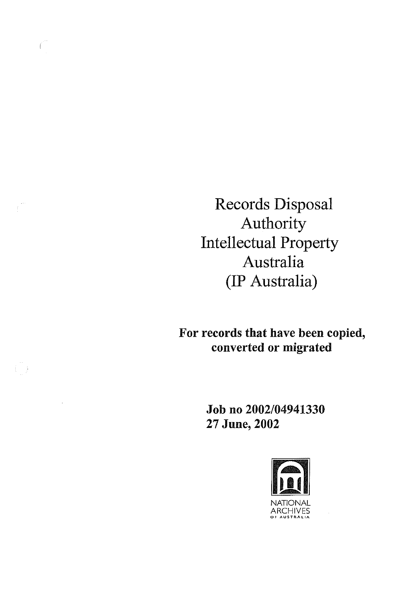Records Disposal Authority Intellectual Property Australia (IP Australia)

For records that have been copied, converted or migrated

> Job no 2002/04941330 27 June, 2002

 $\frac{1}{2}$ 

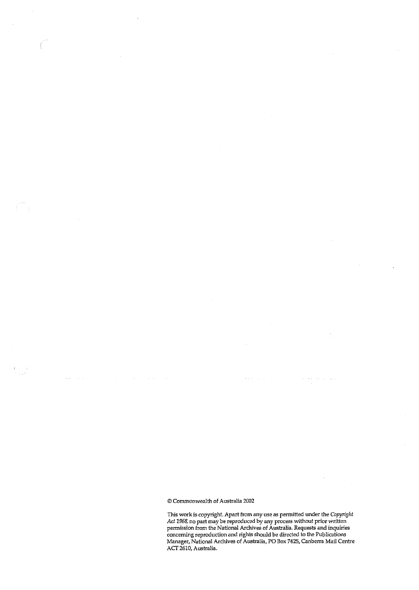$\ddot{\phantom{a}}$ 

 $\sim 10^{-1}$ 

© Commonwealth of Australia 2002

This work is copyright. Apart from any use as permitted under the Copyright Act 1968, no part may be reproduced by any process without prior written permission from the National Archives of Australia. Requests and inquiries concerning reproduction and rights should be directed to the Publications Manager, National Archives of Australia, PO Box 7425, Canberra Mail Centre ACT 2610, Australia.

 $\frac{1}{2}$ 

 $\theta(\epsilon,\epsilon)$  , and  $\epsilon$  , and  $\epsilon$  $\mathcal{F}^{\mathcal{G}}$  , where  $\mathcal{F}^{\mathcal{G}}$  is a subset of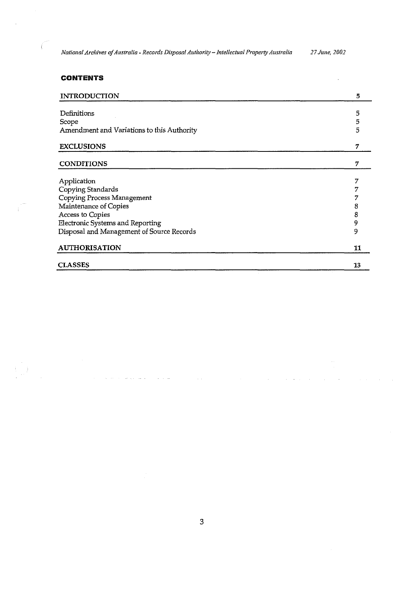*NationalArchives ofAustralia***-** *RecordsDisposal Authority***-** *Intellectual Property Australia 27* **JUlie,** *2002* 

## **CONTENTS**

 $\left\langle \right\rangle$ 

 $\frac{1}{\sqrt{2}}$ 

| <b>INTRODUCTION</b>                        | 5  |
|--------------------------------------------|----|
|                                            |    |
| Definitions                                | 5  |
| Scope                                      | 5  |
| Amendment and Variations to this Authority | 5  |
| <b>EXCLUSIONS</b>                          | 7  |
| <b>CONDITIONS</b>                          | 7  |
|                                            |    |
| Application                                |    |
| Copying Standards                          |    |
| Copying Process Management                 |    |
| Maintenance of Copies                      | 8  |
| Access to Copies                           | 8  |
| <b>Electronic Systems and Reporting</b>    | 9  |
| Disposal and Management of Source Records  | 9  |
| <b>AUTHORISATION</b>                       | 11 |
| <b>CLASSES</b>                             | 13 |

الأواسي ولأمرض

 $\zeta = \zeta$  .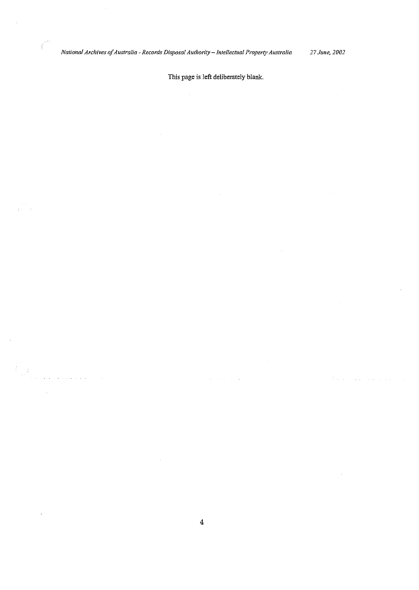$\mathcal{L}_{\mathcal{D}_{\mathcal{A}}}$ 

ال<br>الأولى الأولى الأولى الأولى الأولى التي

 $\hat{\varphi}$  .

÷,

and<br>San Amerika Serikat di San Amerika Serika Serika Serika Serika Serika Serika Serika Serika Serika Serika Serik

## This page is left deliberately blank.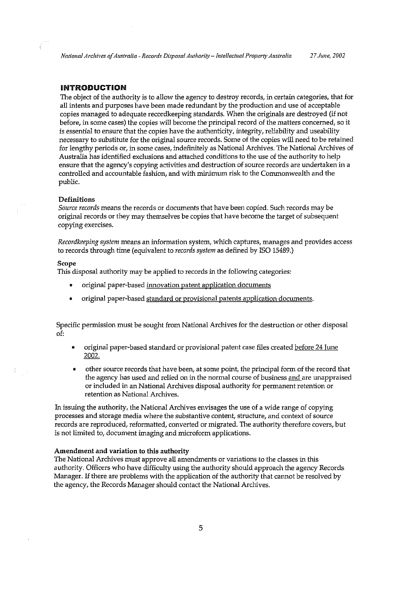## INTRODUCTION

The object of the authority is to allow the agency to destroy records, in certain categories, that for all intents and purposes have been made redundant by the production and use of acceptable copies managed to adequate recordkeeping standards. When the originals are destroyed (if not before, in some cases) the copies will become the principal record of the matters concerned, so it is essential to ensure that the copies have the authenticity, integrity, reliability and useability necessary to substitute for the original source records. Some of the copies will need to be retained for lengthy periods or, in some cases, indefinitely as National Archives. The National Archives of Australia has identified exclusions and attached conditions to the use of the authority to help ensure that the agency's copying activities and destruction of source records are undertaken in a controlled and accountable fashion, and with minimum risk to the Commonwealth and the public.

#### Definitions

*Source records* means the records or documents that have been copied. Such records may be original records or they may themselves be copies that have become the target of subsequent copying exercises.

*Recordkeeping system*means an information system, which captures, manages and provides access to records through time (equivalent to *records system* as defined by ISO 15489.)

#### Scope

Ť

This disposal authority may be applied to records in the following categories:

- original paper-based innovation patent application documents
- original paper-based standard or provisional patents application documents.

Specific permission must be sought from National Archives for the destruction or other disposal of:

- original paper-based standard or provisional patent case files created before 24 June 2002.
- other source records that have been, at some point, the principal form of the record that the agency has used and relied on in the normal course of business and are unappraised or included in an National Archives disposal authority for permanent retention or retention as National Archives.

In issuing the authority, the National Archives envisages the use of a wide range of copying processes and storage media where the substantive content, structure, and context of source records are reproduced, reformatted, converted or migrated. The authority therefore covers, but is not Iimited to, document imaging and microform applications.

### Amendment and variation to this authority

The National Archives must approve all amendments or variations to the classes in this authority. Officers who have difficulty using the authority should approach the agency Records Manager. If there are problems with the application of the authority that cannot be resolved by the agency, the Records Manager should contact the National Archives.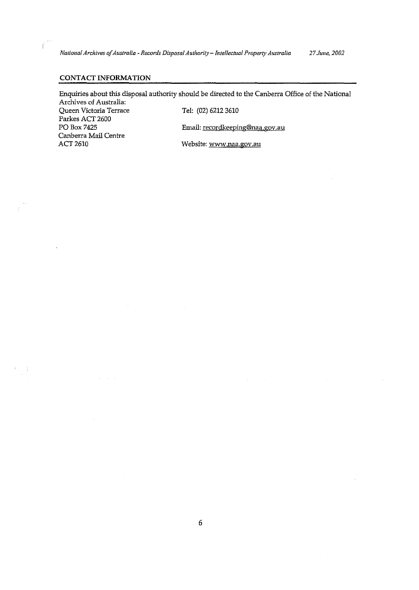## **CONTACT INFORMATION**

Enquiries about this disposal authority should be directed to the Canberra Office of the National Archives of Australia: Queen Victoria Terrace Tel: (02) 6212 3610 Parkes ACT 2600<br>PO Box 7425 Email: recordkeeping@naa.gov.au Canberra Mail Centre

Website: www.naa.gov.au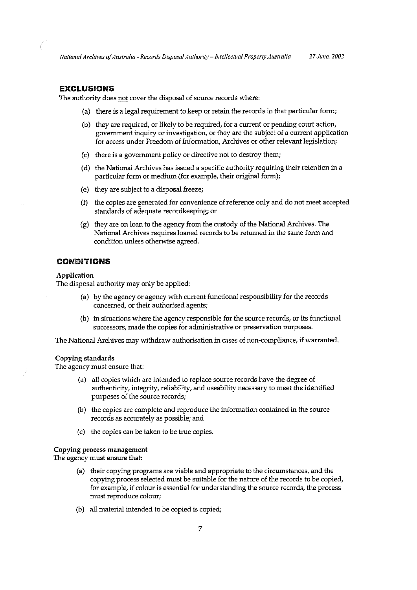## **EXCLUSIONS**

The authority does not cover the disposal of source records where:

- (a) there is a legal requirement to keep or retain the records in that particular form;
- (b) they are required, or likely to be required, for a current or pending court action, government inquiry or investigation, or they are the subject of a current application for access under Freedom of Information, Archives or other relevant legislation,
- (c) there is a government policy or directive not to destroy them;
- (d) the National Archives has issued a specific authority requiring their retention in a particular form or medium (for example, their original form);
- (e) they are subject to a disposal freeze;
- (f) the copies are generated for convenience of reference only and do not meet accepted standards of adequate recordkeeping; or
- (g) they are on loan to the agency from the custody of the National Archives. The National Archives requires loaned records to be returned in the same form and condition unless otherwise agreed.

## **CONDITIONS**

### Application

The disposal authority may only be applied:

- (a) by the agency or agency with current functional responsibility for the records **concerned, or their authorised agents;**
- (b) in situations where the agency responsible for the source records, or its functional successors, made the copies for administrative or preservation purposes.

The National Archives may withdraw authorisation in cases of non-compliance, if warranted.

#### Copying standards

The agency must ensure that:

- (a) all copies which are intended to replace source records have the degree of authenticity, integrity, reliability, and useability necessary to meet the identified **purposes of the source records;**
- (b) the copies are complete and reproduce the information contained in the source records as accurately as possible; and
- (c) the copies can be taken to be true copies.

### Copying process management

The agency must ensure that:

- (a) their copying programs are viable and appropriate to the circumstances, and the copying process selected must be suitable for the nature of the records to be copied, for example, if colour is essential for understanding the source records, the process **must reproduce colour;**
- (b) all material intended to be copied is copied;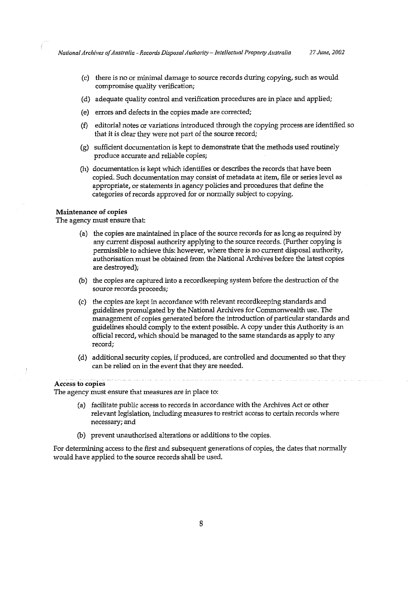- (c) there is no or minimal damage to source records during copying, such as would compromise quality verification;
- (d) adequate quality control and verification procedures are in place and applied;
- (e) errors and defects in the copies made are corrected;
- (f) editorial notes or variations introduced through the copying process are identified so that it is clear they were not part of the source record;
- (g) sufficient documentation is kept to demonstrate that the methods used routinely produce accurate and reliable copies;
- (h) documentation is kept which identifies or describes the records that have been copied. Such documentation may consist of metadata at item, file or series level as appropriate, or statements in agency policies and procedures that define the categories of records approved for or normally subject to copying.

#### Maintenance of copies

The agency must ensure that:

- (a) the copies are maintained in place of the source records for as long as required by any current disposal authority applying to the source records. (Further copying is permissible to achieve this: however, where there is no current disposal authority, authorisation must be obtained from the National Archives before the latest copies are destroyed);
- (b) the copies are captured into a recordkeeping system before the destruction of the **source records proceeds;**
- (c) the copies are kept in accordance with relevant recordkeeping standards and guidelines promulgated by the National Archives for Commonwealth use. The management of copies generated before the introduction of particular standards and guidelines should comply to the extent possible. A copy under this Authority is an official record, which should be managed to the same standards as apply to any **record;**
- (d) additional security copies, if produced, are controlled and documented so that they can be relied on in the event that they are needed.

#### **Access to copies**

The agency must ensure that measures are in place to:

- (a) facilitate public access to records in accordance with the Archives Act or other relevant legislation, including measures to restrict access to certain records where **necessary; and**
- (b) prevent unauthorised alterations or additions to the copies.

For determining access to the first and subsequent generations of copies, the dates that normally would have applied to the source records shall be used.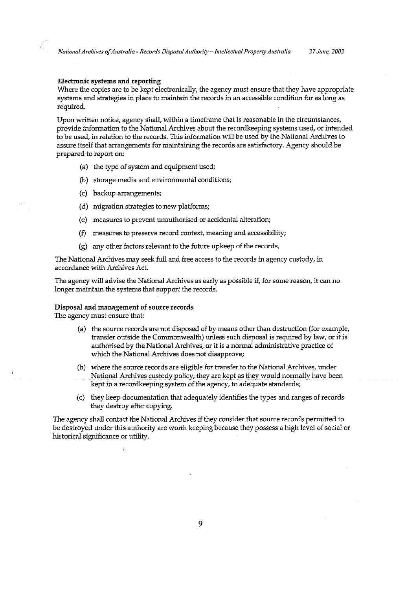#### Electronic systems and reporting

Where the copies are to be kept electronically, the agency must ensure that they have appropriate systems and strategies in place to maintain the records in an accessible condition for as long as required.

Upon written notice, agency shall, within a timeframe that is reasonable in the circumstances, provide information to the National Archives about the recordkeeping systems used, or intended to be used, in relation to the records. This information will be used by the National Archives to assure itself that arrangements for maintaining the records are satisfactory. Agency should be prepared to report on:

- (a) the type of system and equipment used;
- (b) storage media and environmental conditions;
- (c) backup arrangements;
- (d) migration strategies to new platforms;
- (e) measures to prevent unauthorised or accidental alteration;
- (f) measures to preserve record context, meaning and accessibility;
- (g) any other factors relevant to the future upkeep of the records.

The National Archives may seek full and free access to the records in agency custody, in accordance with Archives Act.

The agency will advise the National Archives as early as possible if, for some reason, it can no longer maintain the systems that support the records.

Disposal and management of source records

The agency must ensure that:

- (a) the source records are not disposed of by means other than destruction (for example, transfer outside the Commonwealth) unless such disposal is required by law, or it is authorised by the National Archives, or it is a normal administrative practice of which the National Archives does not disapprove;
- (b) where the source records are eligible for transfer to the National Archives, under National Archives custodypolicy, they are kept as they would normally have been kept in a recordkeeping system of the agency, to adequate standards;
- (c) they keep documentation that adequately identifies the types and ranges of records they destroy after copying.

The agency shall contact the National Archives if they consider that source records permitted to be destroyed under this authority are worth keeping because they possess a high level of social or historical significance or utility.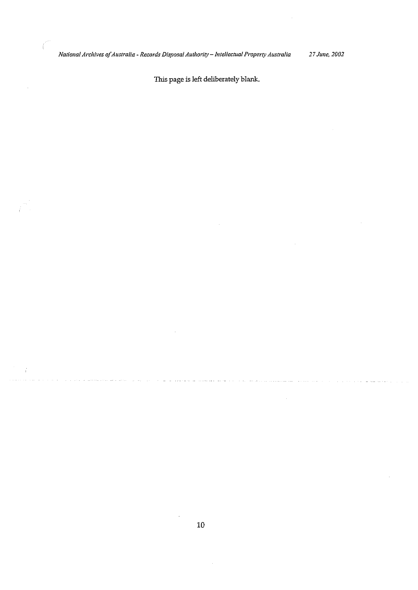*National Archives ofAustralia* **-** *Records Disposal Authority* **-** *Intellectual Property Australia 27 June, 2002* 

 $\vec{r}$ 

 $\hat{1}$ 

This page is left deliberately blank.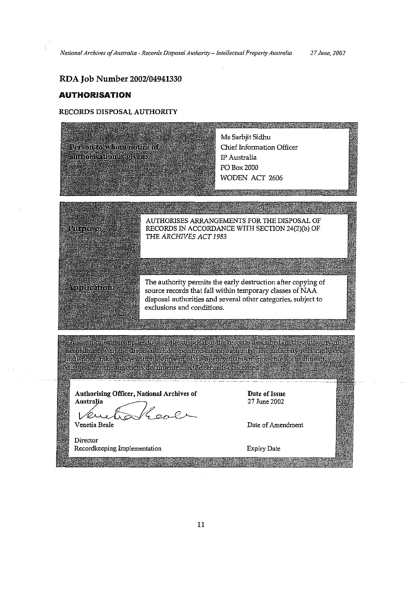## **RDA Job Number 2002104941330**

## **AUTHORISATION**

#### RECORDS DISPOSAL AUTHORITY

A RICHARD AND A REPORT OF A PROPERTY Ms Sarbjit Sidhu Desson forchom adales of Chief Information Officer ennlichtennens gegin IP Australia PO Box 2000 WODEN ACT 2606 e de la componentación de la componentación de la componentación de la componentación de la componentación de AUTHORISES ARRANGEMENTS FOR THE DISPOSAL OF RECORDS IN ACCORDANCE WITH SECTION 24(2)(b) OF Kinspolssel THE ARCHIVES ACT 1983 The authority permits the early destruction after copying of Araffikkendere source records that fall within temporary classes of NAA disposal authorities and several other categories, subject to exclusions and conditions. This authorisation applies to only the clisposal ordin records described or the authority to<br>Accordance With the disposable inorganized on the authority. The authority will apply only<br>Inchapes the CS- place with the consen dispossibion fact tenditoris decumented in the records condensed **Authorising Officer, National Archives of** Date of Issue Australia 27 June 2002  $\mathscr{O}_\mathcal{L}$ Venetia Beale Date of Amendment Director Recordkeeping Implementation **Expiry Date**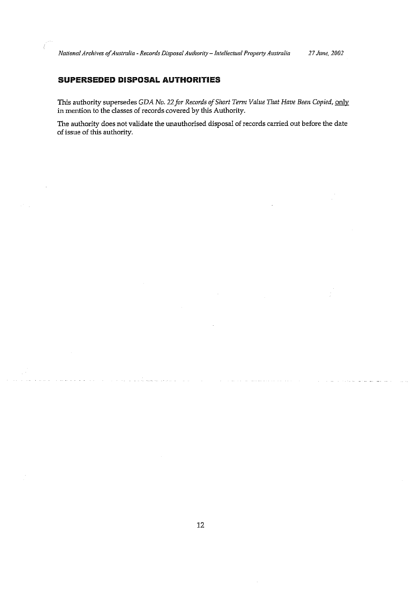## **SUPERSEDED DISPOSAL AUTHORITIES**

This authority supersedes *GDA No.* 22*for Records of Short Term Value ThatHaue Been Copied,* only in mention to the classes of records covered by this Authority.

The authority does not validate the unauthorised disposal of records carried out before the date of issue of this authority.